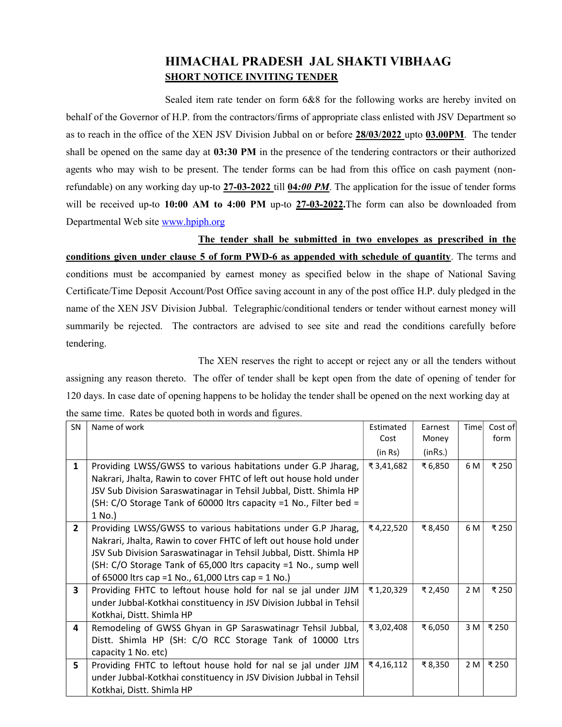## HIMACHAL PRADESH JAL SHAKTI VIBHAAG SHORT NOTICE INVITING TENDER

 Sealed item rate tender on form 6&8 for the following works are hereby invited on behalf of the Governor of H.P. from the contractors/firms of appropriate class enlisted with JSV Department so as to reach in the office of the XEN JSV Division Jubbal on or before 28/03/2022 upto 03.00PM. The tender shall be opened on the same day at 03:30 PM in the presence of the tendering contractors or their authorized agents who may wish to be present. The tender forms can be had from this office on cash payment (nonrefundable) on any working day up-to  $27-03-2022$  till  $04:00$  PM. The application for the issue of tender forms will be received up-to 10:00 AM to 4:00 PM up-to 27-03-2022. The form can also be downloaded from Departmental Web site www.hpiph.org

 The tender shall be submitted in two envelopes as prescribed in the conditions given under clause 5 of form PWD-6 as appended with schedule of quantity. The terms and conditions must be accompanied by earnest money as specified below in the shape of National Saving Certificate/Time Deposit Account/Post Office saving account in any of the post office H.P. duly pledged in the name of the XEN JSV Division Jubbal. Telegraphic/conditional tenders or tender without earnest money will summarily be rejected. The contractors are advised to see site and read the conditions carefully before tendering.

 The XEN reserves the right to accept or reject any or all the tenders without assigning any reason thereto. The offer of tender shall be kept open from the date of opening of tender for 120 days. In case date of opening happens to be holiday the tender shall be opened on the next working day at the same time. Rates be quoted both in words and figures.

| <b>SN</b>               | Name of work                                                       | Estimated | Earnest | Timel | Cost of |
|-------------------------|--------------------------------------------------------------------|-----------|---------|-------|---------|
|                         |                                                                    | Cost      | Money   |       | form    |
|                         |                                                                    | (in Rs)   | (inRs.) |       |         |
| $\mathbf{1}$            | Providing LWSS/GWSS to various habitations under G.P Jharag,       | ₹3,41,682 | ₹6,850  | 6 M   | ₹ 250   |
|                         | Nakrari, Jhalta, Rawin to cover FHTC of left out house hold under  |           |         |       |         |
|                         | JSV Sub Division Saraswatinagar in Tehsil Jubbal, Distt. Shimla HP |           |         |       |         |
|                         | (SH: C/O Storage Tank of 60000 ltrs capacity =1 No., Filter bed =  |           |         |       |         |
|                         | 1 No.)                                                             |           |         |       |         |
| $2^{\circ}$             | Providing LWSS/GWSS to various habitations under G.P Jharag,       | ₹4,22,520 | ₹8,450  | 6 M   | ₹ 250   |
|                         | Nakrari, Jhalta, Rawin to cover FHTC of left out house hold under  |           |         |       |         |
|                         | JSV Sub Division Saraswatinagar in Tehsil Jubbal, Distt. Shimla HP |           |         |       |         |
|                         | (SH: C/O Storage Tank of 65,000 ltrs capacity =1 No., sump well    |           |         |       |         |
|                         | of 65000 ltrs cap = 1 No., 61,000 Ltrs cap = 1 No.)                |           |         |       |         |
| $\overline{\mathbf{3}}$ | Providing FHTC to leftout house hold for nal se jal under JJM      | ₹1,20,329 | ₹ 2,450 | 2 M   | ₹ 250   |
|                         | under Jubbal-Kotkhai constituency in JSV Division Jubbal in Tehsil |           |         |       |         |
|                         | Kotkhai, Distt. Shimla HP                                          |           |         |       |         |
| 4                       | Remodeling of GWSS Ghyan in GP Saraswatinagr Tehsil Jubbal,        | ₹3,02,408 | ₹6,050  | 3 M   | ₹ 250   |
|                         | Distt. Shimla HP (SH: C/O RCC Storage Tank of 10000 Ltrs           |           |         |       |         |
|                         | capacity 1 No. etc)                                                |           |         |       |         |
| 5                       | Providing FHTC to leftout house hold for nal se jal under JJM      | ₹4,16,112 | ₹8,350  | 2 M   | ₹ 250   |
|                         | under Jubbal-Kotkhai constituency in JSV Division Jubbal in Tehsil |           |         |       |         |
|                         | Kotkhai, Distt. Shimla HP                                          |           |         |       |         |